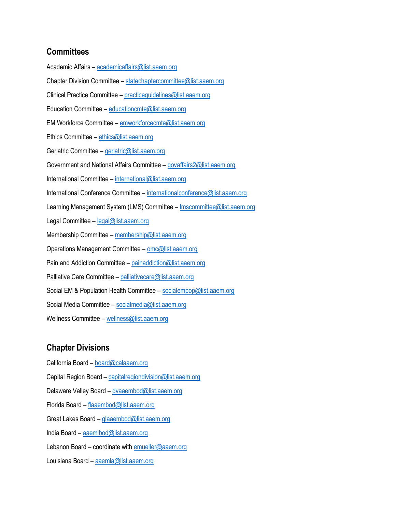## **Committees**

Academic Affairs – [academicaffairs@list.aaem.org](mailto:academicaffairs@list.aaem.org) Chapter Division Committee – [statechaptercommittee@list.aaem.org](mailto:statechaptercommittee@list.aaem.org) Clinical Practice Committee – [practiceguidelines@list.aaem.org](mailto:practiceguidelines@list.aaem.org) Education Committee – [educationcmte@list.aaem.org](mailto:educationcmte@list.aaem.org) EM Workforce Committee – [emworkforcecmte@list.aaem.org](mailto:emworkforcecmte@list.aaem.org) Ethics Committee – [ethics@list.aaem.org](mailto:ethics@list.aaem.org) Geriatric Committee – [geriatric@list.aaem.org](mailto:geriatric@list.aaem.org) Government and National Affairs Committee – [govaffairs2@list.aaem.org](mailto:govaffairs2@list.aaem.org) International Committee – [international@list.aaem.org](mailto:international@list.aaem.org) International Conference Committee – [internationalconference@list.aaem.org](mailto:internationalconference@list.aaem.org) Learning Management System (LMS) Committee – Imscommittee@list.aaem.org Legal Committee – [legal@list.aaem.org](mailto:legal@list.aaem.org) Membership Committee – [membership@list.aaem.org](mailto:membership@list.aaem.org) Operations Management Committee – [omc@list.aaem.org](mailto:omc@list.aaem.org) Pain and Addiction Committee – [painaddiction@list.aaem.org](mailto:painaddiction@list.aaem.org) Palliative Care Committee – [palliativecare@list.aaem.org](mailto:palliativecare@list.aaem.org) Social EM & Population Health Committee - [socialempop@list.aaem.org](mailto:socialempop@list.aaem.org) Social Media Committee – [socialmedia@list.aaem.org](mailto:socialmedia@list.aaem.org) Wellness Committee – [wellness@list.aaem.org](mailto:wellness@list.aaem.org)

# **Chapter Divisions**

California Board – [board@calaaem.org](mailto:board@calaaem.org) Capital Region Board – [capitalregiondivision@list.aaem.org](mailto:capitalregiondivision@list.aaem.org) Delaware Valley Board - [dvaaembod@list.aaem.org](mailto:dvaaembod@list.aaem.org) Florida Board – [flaaembod@list.aaem.org](mailto:flaaembod@list.aaem.org) Great Lakes Board - **[glaaembod@list.aaem.org](mailto:glaaembod@list.aaem.org)** India Board – [aaemibod@list.aaem.org](mailto:aaemibod@list.aaem.org) Lebanon Board – coordinate with  $emueller@aaem.org$ Louisiana Board – [aaemla@list.aaem.org](mailto:aaemla@list.aaem.org)